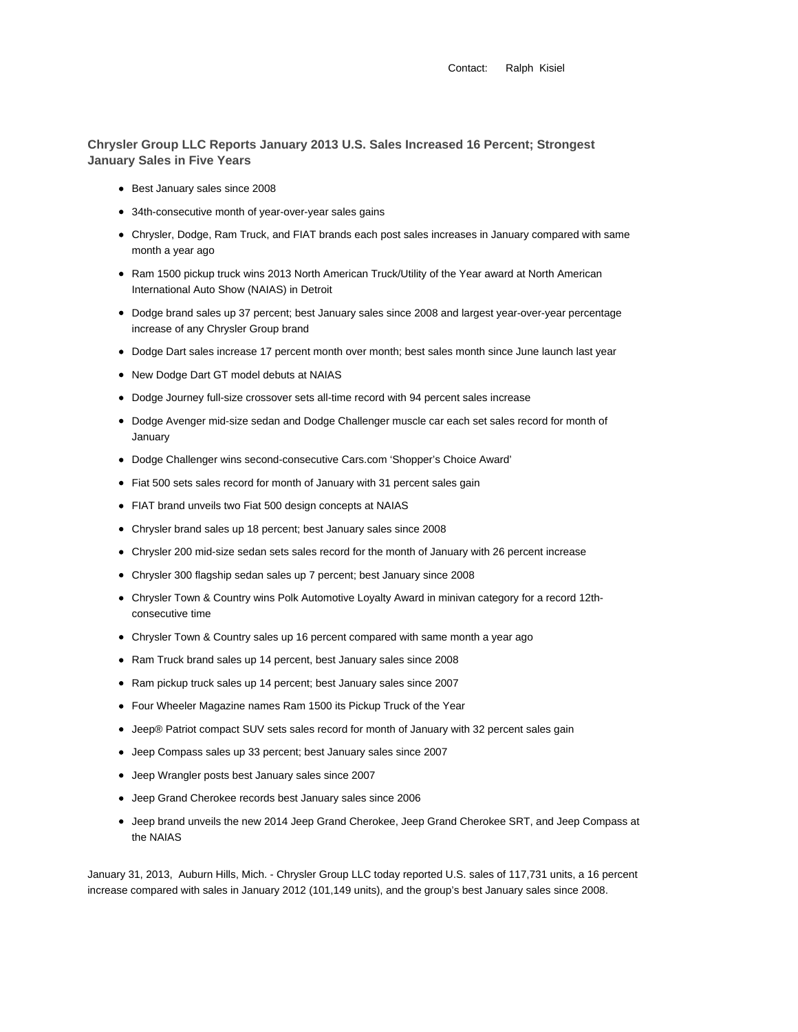Contact: Ralph Kisiel

**Chrysler Group LLC Reports January 2013 U.S. Sales Increased 16 Percent; Strongest January Sales in Five Years**

- Best January sales since 2008
- 34th-consecutive month of year-over-year sales gains
- Chrysler, Dodge, Ram Truck, and FIAT brands each post sales increases in January compared with same month a year ago
- Ram 1500 pickup truck wins 2013 North American Truck/Utility of the Year award at North American International Auto Show (NAIAS) in Detroit
- Dodge brand sales up 37 percent; best January sales since 2008 and largest year-over-year percentage increase of any Chrysler Group brand
- Dodge Dart sales increase 17 percent month over month; best sales month since June launch last year
- New Dodge Dart GT model debuts at NAIAS
- Dodge Journey full-size crossover sets all-time record with 94 percent sales increase
- Dodge Avenger mid-size sedan and Dodge Challenger muscle car each set sales record for month of January
- Dodge Challenger wins second-consecutive Cars.com 'Shopper's Choice Award'
- Fiat 500 sets sales record for month of January with 31 percent sales gain
- FIAT brand unveils two Fiat 500 design concepts at NAIAS
- Chrysler brand sales up 18 percent; best January sales since 2008
- Chrysler 200 mid-size sedan sets sales record for the month of January with 26 percent increase
- Chrysler 300 flagship sedan sales up 7 percent; best January since 2008
- Chrysler Town & Country wins Polk Automotive Loyalty Award in minivan category for a record 12thconsecutive time
- Chrysler Town & Country sales up 16 percent compared with same month a year ago
- Ram Truck brand sales up 14 percent, best January sales since 2008
- Ram pickup truck sales up 14 percent; best January sales since 2007
- Four Wheeler Magazine names Ram 1500 its Pickup Truck of the Year
- Jeep® Patriot compact SUV sets sales record for month of January with 32 percent sales gain
- Jeep Compass sales up 33 percent; best January sales since 2007
- Jeep Wrangler posts best January sales since 2007
- Jeep Grand Cherokee records best January sales since 2006
- Jeep brand unveils the new 2014 Jeep Grand Cherokee, Jeep Grand Cherokee SRT, and Jeep Compass at the NAIAS

January 31, 2013, Auburn Hills, Mich. - Chrysler Group LLC today reported U.S. sales of 117,731 units, a 16 percent increase compared with sales in January 2012 (101,149 units), and the group's best January sales since 2008.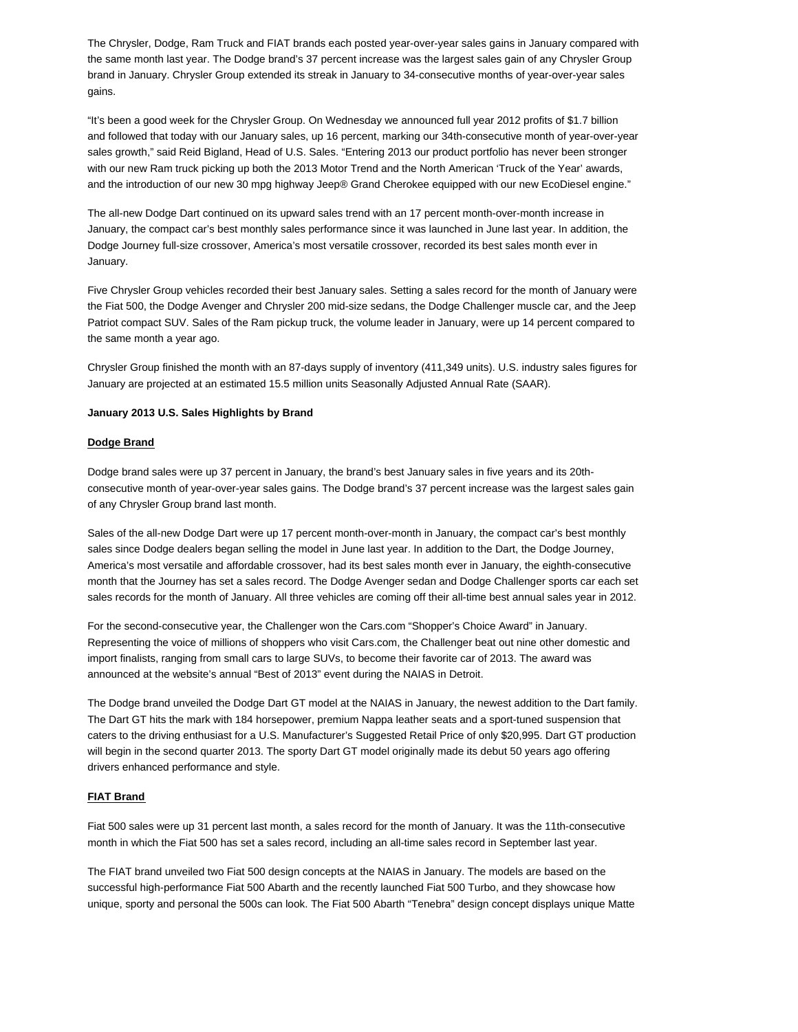The Chrysler, Dodge, Ram Truck and FIAT brands each posted year-over-year sales gains in January compared with the same month last year. The Dodge brand's 37 percent increase was the largest sales gain of any Chrysler Group brand in January. Chrysler Group extended its streak in January to 34-consecutive months of year-over-year sales gains.

"It's been a good week for the Chrysler Group. On Wednesday we announced full year 2012 profits of \$1.7 billion and followed that today with our January sales, up 16 percent, marking our 34th-consecutive month of year-over-year sales growth," said Reid Bigland, Head of U.S. Sales. "Entering 2013 our product portfolio has never been stronger with our new Ram truck picking up both the 2013 Motor Trend and the North American 'Truck of the Year' awards, and the introduction of our new 30 mpg highway Jeep® Grand Cherokee equipped with our new EcoDiesel engine."

The all-new Dodge Dart continued on its upward sales trend with an 17 percent month-over-month increase in January, the compact car's best monthly sales performance since it was launched in June last year. In addition, the Dodge Journey full-size crossover, America's most versatile crossover, recorded its best sales month ever in January.

Five Chrysler Group vehicles recorded their best January sales. Setting a sales record for the month of January were the Fiat 500, the Dodge Avenger and Chrysler 200 mid-size sedans, the Dodge Challenger muscle car, and the Jeep Patriot compact SUV. Sales of the Ram pickup truck, the volume leader in January, were up 14 percent compared to the same month a year ago.

Chrysler Group finished the month with an 87-days supply of inventory (411,349 units). U.S. industry sales figures for January are projected at an estimated 15.5 million units Seasonally Adjusted Annual Rate (SAAR).

### **January 2013 U.S. Sales Highlights by Brand**

### **Dodge Brand**

Dodge brand sales were up 37 percent in January, the brand's best January sales in five years and its 20thconsecutive month of year-over-year sales gains. The Dodge brand's 37 percent increase was the largest sales gain of any Chrysler Group brand last month.

Sales of the all-new Dodge Dart were up 17 percent month-over-month in January, the compact car's best monthly sales since Dodge dealers began selling the model in June last year. In addition to the Dart, the Dodge Journey, America's most versatile and affordable crossover, had its best sales month ever in January, the eighth-consecutive month that the Journey has set a sales record. The Dodge Avenger sedan and Dodge Challenger sports car each set sales records for the month of January. All three vehicles are coming off their all-time best annual sales year in 2012.

For the second-consecutive year, the Challenger won the Cars.com "Shopper's Choice Award" in January. Representing the voice of millions of shoppers who visit Cars.com, the Challenger beat out nine other domestic and import finalists, ranging from small cars to large SUVs, to become their favorite car of 2013. The award was announced at the website's annual "Best of 2013" event during the NAIAS in Detroit.

The Dodge brand unveiled the Dodge Dart GT model at the NAIAS in January, the newest addition to the Dart family. The Dart GT hits the mark with 184 horsepower, premium Nappa leather seats and a sport-tuned suspension that caters to the driving enthusiast for a U.S. Manufacturer's Suggested Retail Price of only \$20,995. Dart GT production will begin in the second quarter 2013. The sporty Dart GT model originally made its debut 50 years ago offering drivers enhanced performance and style.

### **FIAT Brand**

Fiat 500 sales were up 31 percent last month, a sales record for the month of January. It was the 11th-consecutive month in which the Fiat 500 has set a sales record, including an all-time sales record in September last year.

The FIAT brand unveiled two Fiat 500 design concepts at the NAIAS in January. The models are based on the successful high-performance Fiat 500 Abarth and the recently launched Fiat 500 Turbo, and they showcase how unique, sporty and personal the 500s can look. The Fiat 500 Abarth "Tenebra" design concept displays unique Matte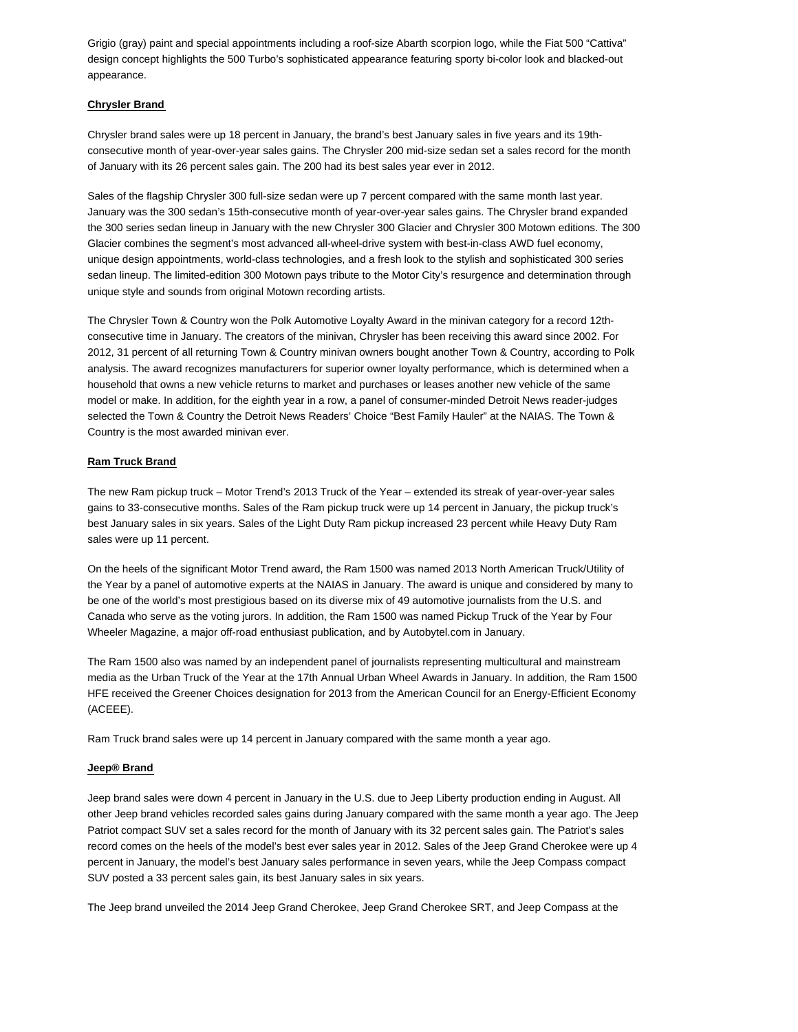Grigio (gray) paint and special appointments including a roof-size Abarth scorpion logo, while the Fiat 500 "Cattiva" design concept highlights the 500 Turbo's sophisticated appearance featuring sporty bi-color look and blacked-out appearance.

# **Chrysler Brand**

Chrysler brand sales were up 18 percent in January, the brand's best January sales in five years and its 19thconsecutive month of year-over-year sales gains. The Chrysler 200 mid-size sedan set a sales record for the month of January with its 26 percent sales gain. The 200 had its best sales year ever in 2012.

Sales of the flagship Chrysler 300 full-size sedan were up 7 percent compared with the same month last year. January was the 300 sedan's 15th-consecutive month of year-over-year sales gains. The Chrysler brand expanded the 300 series sedan lineup in January with the new Chrysler 300 Glacier and Chrysler 300 Motown editions. The 300 Glacier combines the segment's most advanced all-wheel-drive system with best-in-class AWD fuel economy, unique design appointments, world-class technologies, and a fresh look to the stylish and sophisticated 300 series sedan lineup. The limited-edition 300 Motown pays tribute to the Motor City's resurgence and determination through unique style and sounds from original Motown recording artists.

The Chrysler Town & Country won the Polk Automotive Loyalty Award in the minivan category for a record 12thconsecutive time in January. The creators of the minivan, Chrysler has been receiving this award since 2002. For 2012, 31 percent of all returning Town & Country minivan owners bought another Town & Country, according to Polk analysis. The award recognizes manufacturers for superior owner loyalty performance, which is determined when a household that owns a new vehicle returns to market and purchases or leases another new vehicle of the same model or make. In addition, for the eighth year in a row, a panel of consumer-minded Detroit News reader-judges selected the Town & Country the Detroit News Readers' Choice "Best Family Hauler" at the NAIAS. The Town & Country is the most awarded minivan ever.

# **Ram Truck Brand**

The new Ram pickup truck – Motor Trend's 2013 Truck of the Year – extended its streak of year-over-year sales gains to 33-consecutive months. Sales of the Ram pickup truck were up 14 percent in January, the pickup truck's best January sales in six years. Sales of the Light Duty Ram pickup increased 23 percent while Heavy Duty Ram sales were up 11 percent.

On the heels of the significant Motor Trend award, the Ram 1500 was named 2013 North American Truck/Utility of the Year by a panel of automotive experts at the NAIAS in January. The award is unique and considered by many to be one of the world's most prestigious based on its diverse mix of 49 automotive journalists from the U.S. and Canada who serve as the voting jurors. In addition, the Ram 1500 was named Pickup Truck of the Year by Four Wheeler Magazine, a major off-road enthusiast publication, and by Autobytel.com in January.

The Ram 1500 also was named by an independent panel of journalists representing multicultural and mainstream media as the Urban Truck of the Year at the 17th Annual Urban Wheel Awards in January. In addition, the Ram 1500 HFE received the Greener Choices designation for 2013 from the American Council for an Energy-Efficient Economy (ACEEE).

Ram Truck brand sales were up 14 percent in January compared with the same month a year ago.

### **Jeep® Brand**

Jeep brand sales were down 4 percent in January in the U.S. due to Jeep Liberty production ending in August. All other Jeep brand vehicles recorded sales gains during January compared with the same month a year ago. The Jeep Patriot compact SUV set a sales record for the month of January with its 32 percent sales gain. The Patriot's sales record comes on the heels of the model's best ever sales year in 2012. Sales of the Jeep Grand Cherokee were up 4 percent in January, the model's best January sales performance in seven years, while the Jeep Compass compact SUV posted a 33 percent sales gain, its best January sales in six years.

The Jeep brand unveiled the 2014 Jeep Grand Cherokee, Jeep Grand Cherokee SRT, and Jeep Compass at the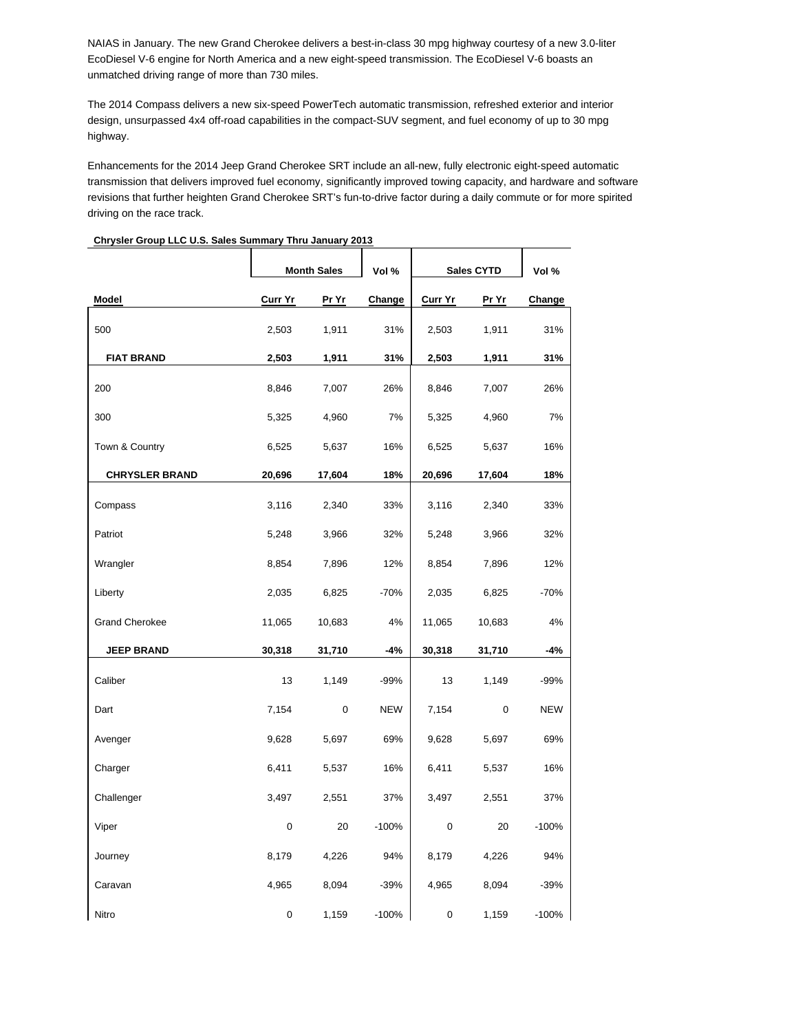NAIAS in January. The new Grand Cherokee delivers a best-in-class 30 mpg highway courtesy of a new 3.0-liter EcoDiesel V-6 engine for North America and a new eight-speed transmission. The EcoDiesel V-6 boasts an unmatched driving range of more than 730 miles.

The 2014 Compass delivers a new six-speed PowerTech automatic transmission, refreshed exterior and interior design, unsurpassed 4x4 off-road capabilities in the compact-SUV segment, and fuel economy of up to 30 mpg highway.

Enhancements for the 2014 Jeep Grand Cherokee SRT include an all-new, fully electronic eight-speed automatic transmission that delivers improved fuel economy, significantly improved towing capacity, and hardware and software revisions that further heighten Grand Cherokee SRT's fun-to-drive factor during a daily commute or for more spirited driving on the race track.

|                       |                | <b>Month Sales</b> | Vol %      |         | <b>Sales CYTD</b> | Vol %      |
|-----------------------|----------------|--------------------|------------|---------|-------------------|------------|
| Model                 | <b>Curr Yr</b> | Pr Yr              | Change     | Curr Yr | Pr Yr             | Change     |
| 500                   | 2,503          | 1,911              | 31%        | 2,503   | 1,911             | 31%        |
| <b>FIAT BRAND</b>     | 2,503          | 1,911              | 31%        | 2,503   | 1,911             | 31%        |
| 200                   | 8,846          | 7,007              | 26%        | 8,846   | 7,007             | 26%        |
| 300                   | 5,325          | 4,960              | 7%         | 5,325   | 4,960             | 7%         |
| Town & Country        | 6,525          | 5,637              | 16%        | 6,525   | 5,637             | 16%        |
| <b>CHRYSLER BRAND</b> | 20,696         | 17,604             | 18%        | 20,696  | 17,604            | 18%        |
| Compass               | 3,116          | 2,340              | 33%        | 3,116   | 2,340             | 33%        |
| Patriot               | 5,248          | 3,966              | 32%        | 5,248   | 3,966             | 32%        |
| Wrangler              | 8,854          | 7,896              | 12%        | 8,854   | 7,896             | 12%        |
| Liberty               | 2,035          | 6,825              | $-70%$     | 2,035   | 6,825             | $-70%$     |
| <b>Grand Cherokee</b> | 11,065         | 10,683             | 4%         | 11,065  | 10,683            | 4%         |
| <b>JEEP BRAND</b>     | 30,318         | 31,710             | $-4%$      | 30,318  | 31,710            | -4%        |
| Caliber               | 13             | 1,149              | $-99%$     | 13      | 1,149             | $-99%$     |
| Dart                  | 7,154          | 0                  | <b>NEW</b> | 7,154   | 0                 | <b>NEW</b> |
| Avenger               | 9,628          | 5,697              | 69%        | 9,628   | 5,697             | 69%        |
| Charger               | 6,411          | 5,537              | 16%        | 6,411   | 5,537             | 16%        |
| Challenger            | 3,497          | 2,551              | 37%        | 3,497   | 2,551             | 37%        |
| Viper                 | 0              | 20                 | $-100%$    | 0       | 20                | $-100%$    |
| Journey               | 8,179          | 4,226              | 94%        | 8,179   | 4,226             | 94%        |
| Caravan               | 4,965          | 8,094              | $-39%$     | 4,965   | 8,094             | $-39%$     |
| Nitro                 | 0              | 1,159              | $-100%$    | 0       | 1,159             | $-100%$    |

### **Chrysler Group LLC U.S. Sales Summary Thru January 2013**